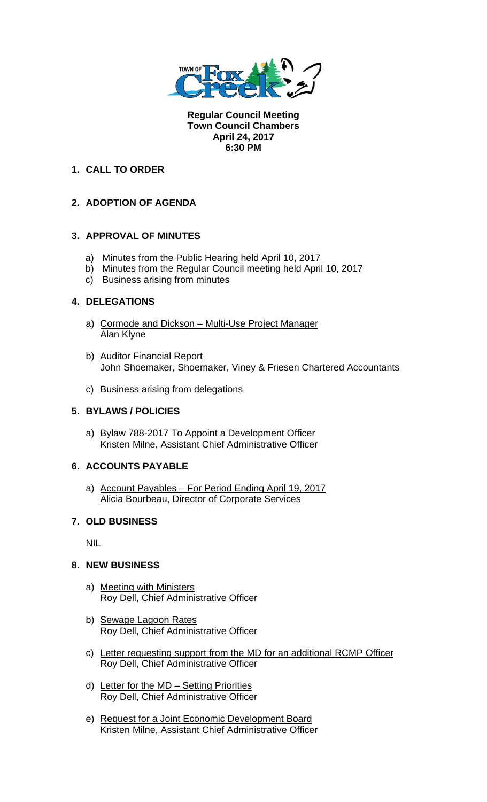

**Regular Council Meeting Town Council Chambers April 24, 2017 6:30 PM** 

## **1. CALL TO ORDER**

## **2. ADOPTION OF AGENDA**

## **3. APPROVAL OF MINUTES**

- a) Minutes from the Public Hearing held April 10, 2017
- b) Minutes from the Regular Council meeting held April 10, 2017
- c) Business arising from minutes

#### **4. DELEGATIONS**

- a) Cormode and Dickson Multi-Use Project Manager Alan Klyne
- b) Auditor Financial Report John Shoemaker, Shoemaker, Viney & Friesen Chartered Accountants
- c) Business arising from delegations

## **5. BYLAWS / POLICIES**

a) Bylaw 788-2017 To Appoint a Development Officer Kristen Milne, Assistant Chief Administrative Officer

## **6. ACCOUNTS PAYABLE**

a) Account Payables – For Period Ending April 19, 2017 Alicia Bourbeau, Director of Corporate Services

## **7. OLD BUSINESS**

NIL

#### **8. NEW BUSINESS**

- a) Meeting with Ministers Roy Dell, Chief Administrative Officer
- b) Sewage Lagoon Rates Roy Dell, Chief Administrative Officer
- c) Letter requesting support from the MD for an additional RCMP Officer Roy Dell, Chief Administrative Officer
- d) Letter for the MD Setting Priorities Roy Dell, Chief Administrative Officer
- e) Request for a Joint Economic Development Board Kristen Milne, Assistant Chief Administrative Officer